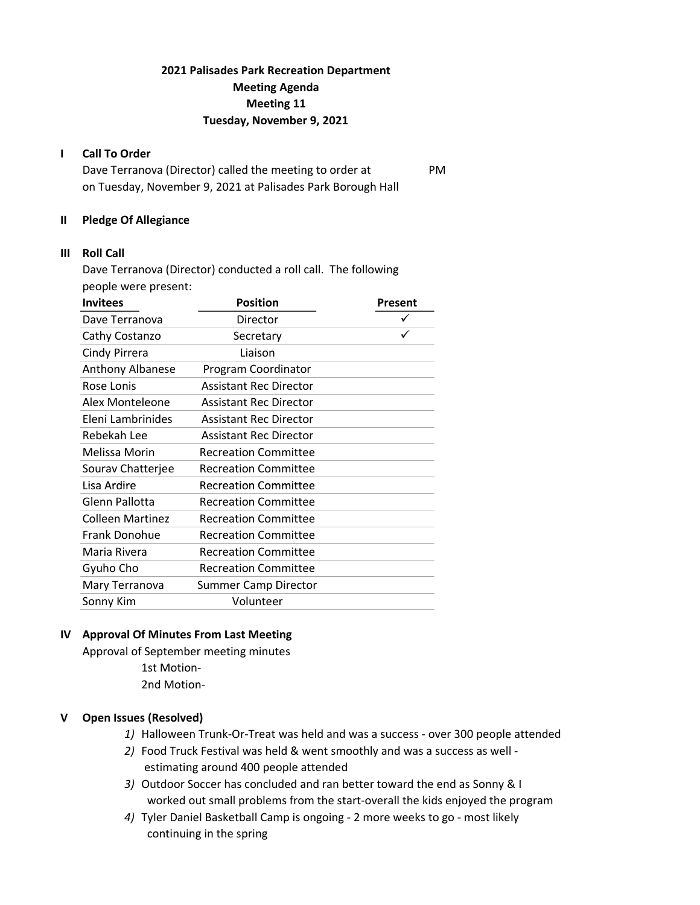# 2021 Palisades Park Recreation Department Meeting Agenda Meeting 11 Tuesday, November 9, 2021

### I Call To Order

Dave Terranova (Director) called the meeting to order at PM on Tuesday, November 9, 2021 at Palisades Park Borough Hall

#### II Pledge Of Allegiance

### III Roll Call

Dave Terranova (Director) conducted a roll call. The following people were present:

| <b>Position</b>               | Present |
|-------------------------------|---------|
| Director                      |         |
| Secretary                     |         |
| Liaison                       |         |
| Program Coordinator           |         |
| <b>Assistant Rec Director</b> |         |
| <b>Assistant Rec Director</b> |         |
| <b>Assistant Rec Director</b> |         |
| <b>Assistant Rec Director</b> |         |
| <b>Recreation Committee</b>   |         |
| <b>Recreation Committee</b>   |         |
| <b>Recreation Committee</b>   |         |
| <b>Recreation Committee</b>   |         |
| <b>Recreation Committee</b>   |         |
| <b>Recreation Committee</b>   |         |
| <b>Recreation Committee</b>   |         |
| <b>Recreation Committee</b>   |         |
| <b>Summer Camp Director</b>   |         |
| Volunteer                     |         |
|                               |         |

### IV Approval Of Minutes From Last Meeting

Approval of September meeting minutes 1st Motion-2nd Motion-

### V Open Issues (Resolved)

- 1) Halloween Trunk-Or-Treat was held and was a success over 300 people attended
- 2) Food Truck Festival was held & went smoothly and was a success as well estimating around 400 people attended
- 3) Outdoor Soccer has concluded and ran better toward the end as Sonny & I worked out small problems from the start-overall the kids enjoyed the program
- 4) Tyler Daniel Basketball Camp is ongoing 2 more weeks to go most likely continuing in the spring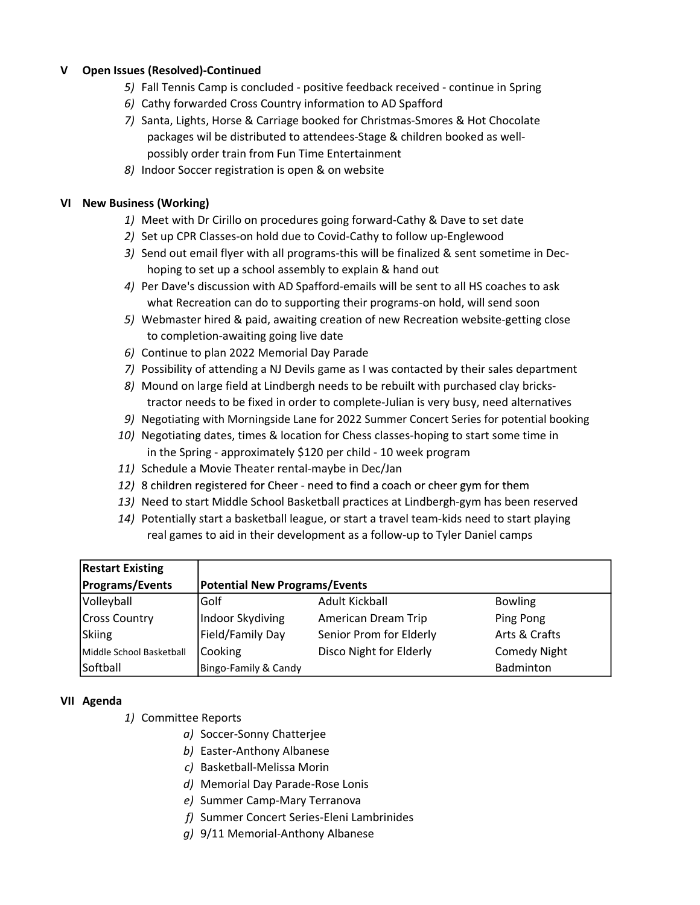## V Open Issues (Resolved)-Continued

- 5) Fall Tennis Camp is concluded positive feedback received continue in Spring
- 6) Cathy forwarded Cross Country information to AD Spafford
- 7) Santa, Lights, Horse & Carriage booked for Christmas-Smores & Hot Chocolate packages wil be distributed to attendees-Stage & children booked as well possibly order train from Fun Time Entertainment
- 8) Indoor Soccer registration is open & on website

### VI New Business (Working)

- 1) Meet with Dr Cirillo on procedures going forward-Cathy & Dave to set date
- 2) Set up CPR Classes-on hold due to Covid-Cathy to follow up-Englewood
- 3) Send out email flyer with all programs-this will be finalized & sent sometime in Dec hoping to set up a school assembly to explain & hand out
- 4) Per Dave's discussion with AD Spafford-emails will be sent to all HS coaches to ask what Recreation can do to supporting their programs-on hold, will send soon
- 5) Webmaster hired & paid, awaiting creation of new Recreation website-getting close to completion-awaiting going live date
- 6) Continue to plan 2022 Memorial Day Parade
- 7) Possibility of attending a NJ Devils game as I was contacted by their sales department
- 8) Mound on large field at Lindbergh needs to be rebuilt with purchased clay bricks tractor needs to be fixed in order to complete-Julian is very busy, need alternatives
- 9) Negotiating with Morningside Lane for 2022 Summer Concert Series for potential booking
- 10) Negotiating dates, times & location for Chess classes-hoping to start some time in in the Spring - approximately \$120 per child - 10 week program
- 11) Schedule a Movie Theater rental-maybe in Dec/Jan
- 12) 8 children registered for Cheer need to find a coach or cheer gym for them
- 13) Need to start Middle School Basketball practices at Lindbergh-gym has been reserved
- 14) Potentially start a basketball league, or start a travel team-kids need to start playing real games to aid in their development as a follow-up to Tyler Daniel camps

| <b>Restart Existing</b>  |                                      |                         |                     |
|--------------------------|--------------------------------------|-------------------------|---------------------|
| <b>Programs/Events</b>   | <b>Potential New Programs/Events</b> |                         |                     |
| Volleyball               | Golf                                 | Adult Kickball          | <b>Bowling</b>      |
| <b>Cross Country</b>     | Indoor Skydiving                     | American Dream Trip     | Ping Pong           |
| Skiing                   | Field/Family Day                     | Senior Prom for Elderly | Arts & Crafts       |
| Middle School Basketball | Cooking                              | Disco Night for Elderly | <b>Comedy Night</b> |
| Softball                 | Bingo-Family & Candy                 |                         | Badminton           |

### VII Agenda

- 1) Committee Reports
	- a) Soccer-Sonny Chatterjee
	- b) Easter-Anthony Albanese
	- c) Basketball-Melissa Morin
	- d) Memorial Day Parade-Rose Lonis
	- e) Summer Camp-Mary Terranova
	- f) Summer Concert Series-Eleni Lambrinides
	- g) 9/11 Memorial-Anthony Albanese